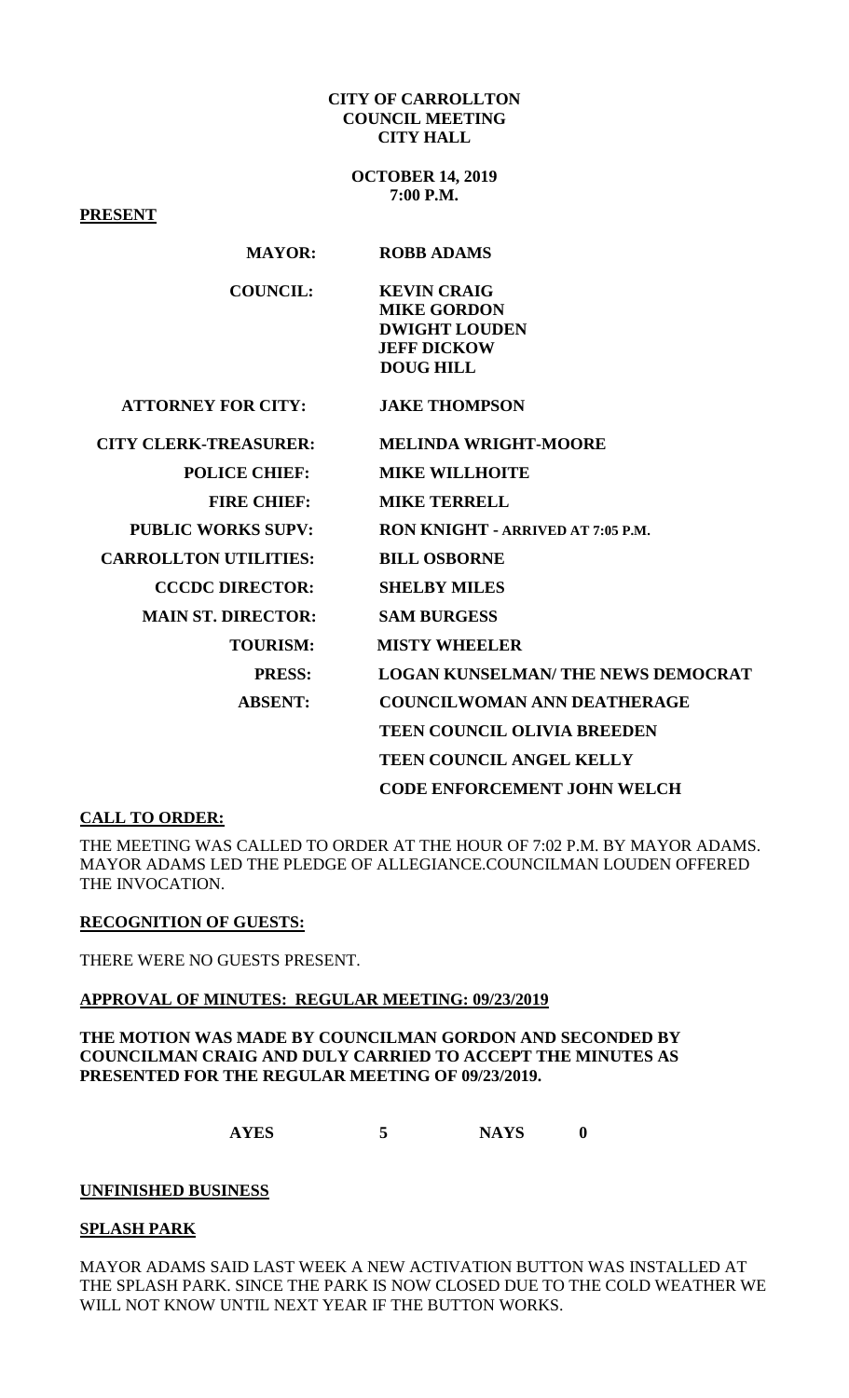#### **CITY OF CARROLLTON COUNCIL MEETING CITY HALL**

**OCTOBER 14, 2019 7:00 P.M.**

**PRESENT MAYOR: ROBB ADAMS COUNCIL: KEVIN CRAIG MIKE GORDON DWIGHT LOUDEN JEFF DICKOW DOUG HILL ATTORNEY FOR CITY: JAKE THOMPSON CITY CLERK-TREASURER: MELINDA WRIGHT-MOORE POLICE CHIEF: MIKE WILLHOITE FIRE CHIEF: MIKE TERRELL PUBLIC WORKS SUPV: RON KNIGHT - ARRIVED AT 7:05 P.M. CARROLLTON UTILITIES: BILL OSBORNE CCCDC DIRECTOR: SHELBY MILES MAIN ST. DIRECTOR: SAM BURGESS TOURISM: MISTY WHEELER PRESS: LOGAN KUNSELMAN/ THE NEWS DEMOCRAT ABSENT: COUNCILWOMAN ANN DEATHERAGE TEEN COUNCIL OLIVIA BREEDEN TEEN COUNCIL ANGEL KELLY CODE ENFORCEMENT JOHN WELCH** 

## **CALL TO ORDER:**

THE MEETING WAS CALLED TO ORDER AT THE HOUR OF 7:02 P.M. BY MAYOR ADAMS. MAYOR ADAMS LED THE PLEDGE OF ALLEGIANCE.COUNCILMAN LOUDEN OFFERED THE INVOCATION.

## **RECOGNITION OF GUESTS:**

THERE WERE NO GUESTS PRESENT.

#### **APPROVAL OF MINUTES: REGULAR MEETING: 09/23/2019**

## **THE MOTION WAS MADE BY COUNCILMAN GORDON AND SECONDED BY COUNCILMAN CRAIG AND DULY CARRIED TO ACCEPT THE MINUTES AS PRESENTED FOR THE REGULAR MEETING OF 09/23/2019.**

**AYES 5 NAYS 0**

#### **UNFINISHED BUSINESS**

## **SPLASH PARK**

MAYOR ADAMS SAID LAST WEEK A NEW ACTIVATION BUTTON WAS INSTALLED AT THE SPLASH PARK. SINCE THE PARK IS NOW CLOSED DUE TO THE COLD WEATHER WE WILL NOT KNOW UNTIL NEXT YEAR IF THE BUTTON WORKS.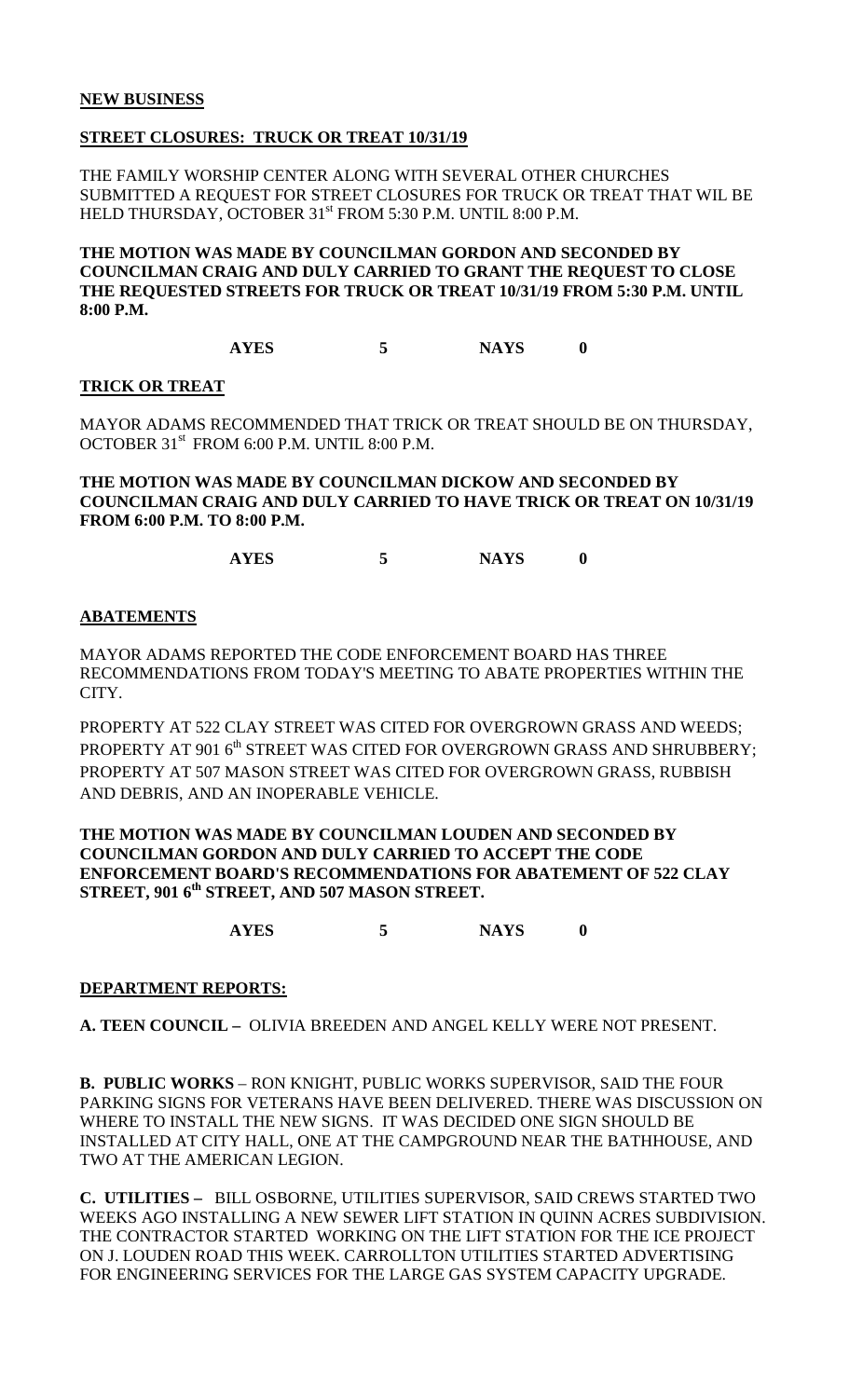# **STREET CLOSURES: TRUCK OR TREAT 10/31/19**

THE FAMILY WORSHIP CENTER ALONG WITH SEVERAL OTHER CHURCHES SUBMITTED A REQUEST FOR STREET CLOSURES FOR TRUCK OR TREAT THAT WIL BE HELD THURSDAY, OCTOBER 31<sup>st</sup> FROM 5:30 P.M. UNTIL 8:00 P.M.

**THE MOTION WAS MADE BY COUNCILMAN GORDON AND SECONDED BY COUNCILMAN CRAIG AND DULY CARRIED TO GRANT THE REQUEST TO CLOSE THE REQUESTED STREETS FOR TRUCK OR TREAT 10/31/19 FROM 5:30 P.M. UNTIL 8:00 P.M.**

**AYES 5 NAYS 0**

## **TRICK OR TREAT**

MAYOR ADAMS RECOMMENDED THAT TRICK OR TREAT SHOULD BE ON THURSDAY, OCTOBER 31st FROM 6:00 P.M. UNTIL 8:00 P.M.

**THE MOTION WAS MADE BY COUNCILMAN DICKOW AND SECONDED BY COUNCILMAN CRAIG AND DULY CARRIED TO HAVE TRICK OR TREAT ON 10/31/19 FROM 6:00 P.M. TO 8:00 P.M.** 

**AYES 5 NAYS 0**

## **ABATEMENTS**

MAYOR ADAMS REPORTED THE CODE ENFORCEMENT BOARD HAS THREE RECOMMENDATIONS FROM TODAY'S MEETING TO ABATE PROPERTIES WITHIN THE CITY.

PROPERTY AT 522 CLAY STREET WAS CITED FOR OVERGROWN GRASS AND WEEDS; PROPERTY AT 901 6<sup>th</sup> STREET WAS CITED FOR OVERGROWN GRASS AND SHRUBBERY; PROPERTY AT 507 MASON STREET WAS CITED FOR OVERGROWN GRASS, RUBBISH AND DEBRIS, AND AN INOPERABLE VEHICLE.

## **THE MOTION WAS MADE BY COUNCILMAN LOUDEN AND SECONDED BY COUNCILMAN GORDON AND DULY CARRIED TO ACCEPT THE CODE ENFORCEMENT BOARD'S RECOMMENDATIONS FOR ABATEMENT OF 522 CLAY STREET, 901 6th STREET, AND 507 MASON STREET.**

**AYES 5 NAYS 0**

# **DEPARTMENT REPORTS:**

**A. TEEN COUNCIL –** OLIVIA BREEDEN AND ANGEL KELLY WERE NOT PRESENT.

**B. PUBLIC WORKS** – RON KNIGHT, PUBLIC WORKS SUPERVISOR, SAID THE FOUR PARKING SIGNS FOR VETERANS HAVE BEEN DELIVERED. THERE WAS DISCUSSION ON WHERE TO INSTALL THE NEW SIGNS. IT WAS DECIDED ONE SIGN SHOULD BE INSTALLED AT CITY HALL, ONE AT THE CAMPGROUND NEAR THE BATHHOUSE, AND TWO AT THE AMERICAN LEGION.

**C. UTILITIES –** BILL OSBORNE, UTILITIES SUPERVISOR, SAID CREWS STARTED TWO WEEKS AGO INSTALLING A NEW SEWER LIFT STATION IN QUINN ACRES SUBDIVISION. THE CONTRACTOR STARTED WORKING ON THE LIFT STATION FOR THE ICE PROJECT ON J. LOUDEN ROAD THIS WEEK. CARROLLTON UTILITIES STARTED ADVERTISING FOR ENGINEERING SERVICES FOR THE LARGE GAS SYSTEM CAPACITY UPGRADE.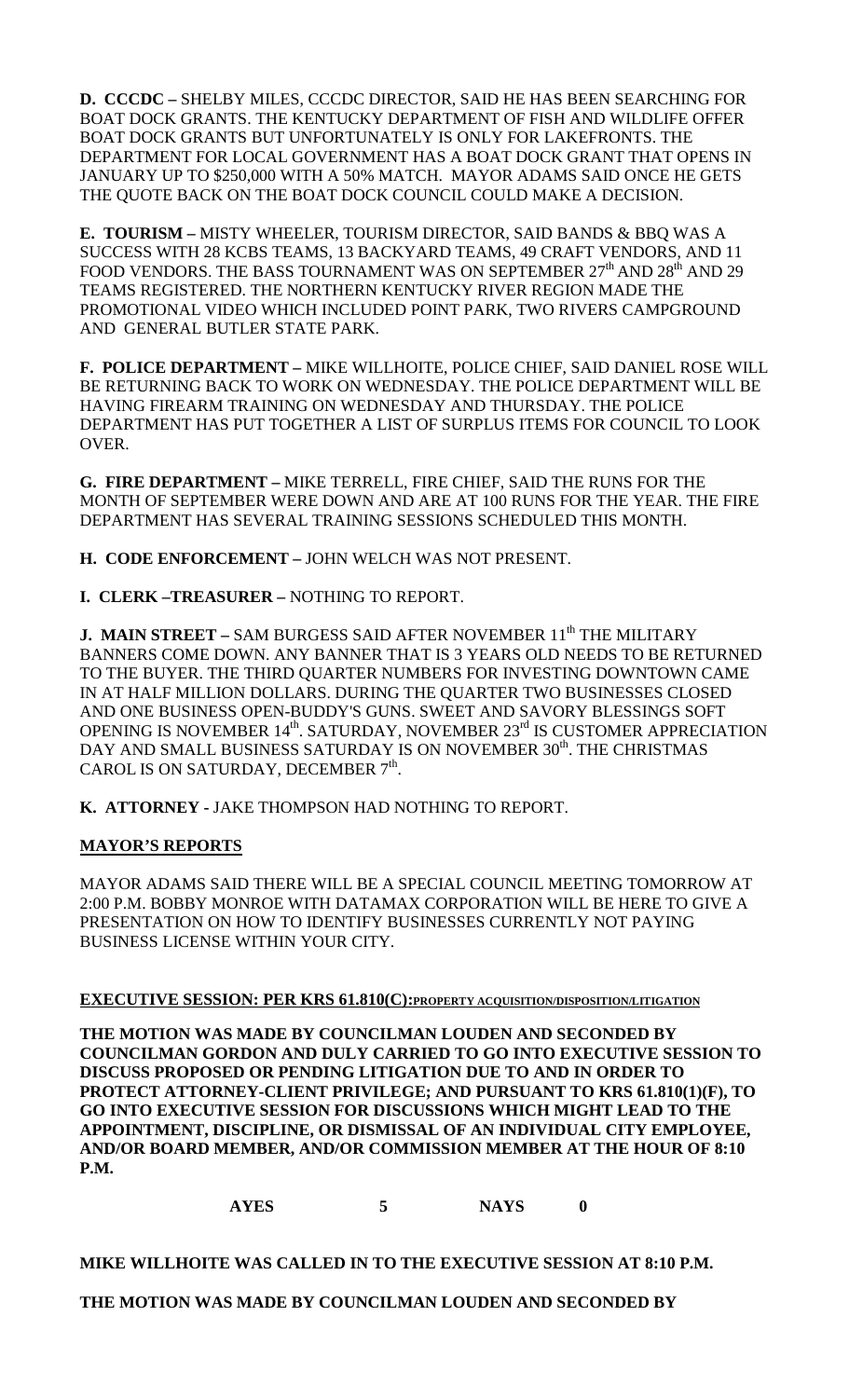**D. CCCDC –** SHELBY MILES, CCCDC DIRECTOR, SAID HE HAS BEEN SEARCHING FOR BOAT DOCK GRANTS. THE KENTUCKY DEPARTMENT OF FISH AND WILDLIFE OFFER BOAT DOCK GRANTS BUT UNFORTUNATELY IS ONLY FOR LAKEFRONTS. THE DEPARTMENT FOR LOCAL GOVERNMENT HAS A BOAT DOCK GRANT THAT OPENS IN JANUARY UP TO \$250,000 WITH A 50% MATCH. MAYOR ADAMS SAID ONCE HE GETS THE QUOTE BACK ON THE BOAT DOCK COUNCIL COULD MAKE A DECISION.

**E. TOURISM –** MISTY WHEELER, TOURISM DIRECTOR, SAID BANDS & BBQ WAS A SUCCESS WITH 28 KCBS TEAMS, 13 BACKYARD TEAMS, 49 CRAFT VENDORS, AND 11 FOOD VENDORS. THE BASS TOURNAMENT WAS ON SEPTEMBER  $27<sup>th</sup>$  AND  $28<sup>th</sup>$  AND  $29$ TEAMS REGISTERED. THE NORTHERN KENTUCKY RIVER REGION MADE THE PROMOTIONAL VIDEO WHICH INCLUDED POINT PARK, TWO RIVERS CAMPGROUND AND GENERAL BUTLER STATE PARK.

**F. POLICE DEPARTMENT –** MIKE WILLHOITE, POLICE CHIEF, SAID DANIEL ROSE WILL BE RETURNING BACK TO WORK ON WEDNESDAY. THE POLICE DEPARTMENT WILL BE HAVING FIREARM TRAINING ON WEDNESDAY AND THURSDAY. THE POLICE DEPARTMENT HAS PUT TOGETHER A LIST OF SURPLUS ITEMS FOR COUNCIL TO LOOK OVER.

**G. FIRE DEPARTMENT –** MIKE TERRELL, FIRE CHIEF, SAID THE RUNS FOR THE MONTH OF SEPTEMBER WERE DOWN AND ARE AT 100 RUNS FOR THE YEAR. THE FIRE DEPARTMENT HAS SEVERAL TRAINING SESSIONS SCHEDULED THIS MONTH.

**H. CODE ENFORCEMENT –** JOHN WELCH WAS NOT PRESENT.

**I. CLERK –TREASURER –** NOTHING TO REPORT.

**J. MAIN STREET –** SAM BURGESS SAID AFTER NOVEMBER 11<sup>th</sup> THE MILITARY BANNERS COME DOWN. ANY BANNER THAT IS 3 YEARS OLD NEEDS TO BE RETURNED TO THE BUYER. THE THIRD QUARTER NUMBERS FOR INVESTING DOWNTOWN CAME IN AT HALF MILLION DOLLARS. DURING THE QUARTER TWO BUSINESSES CLOSED AND ONE BUSINESS OPEN-BUDDY'S GUNS. SWEET AND SAVORY BLESSINGS SOFT OPENING IS NOVEMBER 14<sup>th</sup>. SATURDAY, NOVEMBER 23<sup>rd</sup> IS CUSTOMER APPRECIATION DAY AND SMALL BUSINESS SATURDAY IS ON NOVEMBER 30<sup>th</sup>. THE CHRISTMAS CAROL IS ON SATURDAY, DECEMBER  $7<sup>th</sup>$ .

**K. ATTORNEY -** JAKE THOMPSON HAD NOTHING TO REPORT.

# **MAYOR'S REPORTS**

MAYOR ADAMS SAID THERE WILL BE A SPECIAL COUNCIL MEETING TOMORROW AT 2:00 P.M. BOBBY MONROE WITH DATAMAX CORPORATION WILL BE HERE TO GIVE A PRESENTATION ON HOW TO IDENTIFY BUSINESSES CURRENTLY NOT PAYING BUSINESS LICENSE WITHIN YOUR CITY.

# **EXECUTIVE SESSION: PER KRS 61.810(C):PROPERTY ACQUISITION/DISPOSITION/LITIGATION**

**THE MOTION WAS MADE BY COUNCILMAN LOUDEN AND SECONDED BY COUNCILMAN GORDON AND DULY CARRIED TO GO INTO EXECUTIVE SESSION TO DISCUSS PROPOSED OR PENDING LITIGATION DUE TO AND IN ORDER TO PROTECT ATTORNEY-CLIENT PRIVILEGE; AND PURSUANT TO KRS 61.810(1)(F), TO GO INTO EXECUTIVE SESSION FOR DISCUSSIONS WHICH MIGHT LEAD TO THE APPOINTMENT, DISCIPLINE, OR DISMISSAL OF AN INDIVIDUAL CITY EMPLOYEE, AND/OR BOARD MEMBER, AND/OR COMMISSION MEMBER AT THE HOUR OF 8:10 P.M.**

**AYES 5 NAYS 0**

**MIKE WILLHOITE WAS CALLED IN TO THE EXECUTIVE SESSION AT 8:10 P.M.**

# **THE MOTION WAS MADE BY COUNCILMAN LOUDEN AND SECONDED BY**